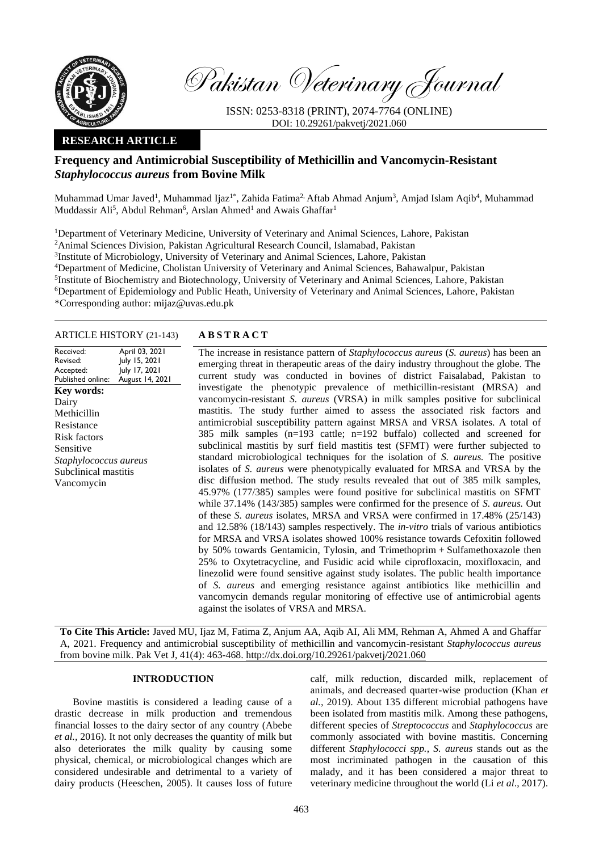

Pakistan Veterinary Journal

ISSN: 0253-8318 (PRINT), 2074-7764 (ONLINE) DOI: 10.29261/pakvetj/2021.060

# **RESEARCH ARTICLE**

# **Frequency and Antimicrobial Susceptibility of Methicillin and Vancomycin-Resistant**  *Staphylococcus aureus* **from Bovine Milk**

Muhammad Umar Javed<sup>1</sup>, Muhammad Ijaz<sup>1\*</sup>, Zahida Fatima<sup>2,</sup> Aftab Ahmad Anjum<sup>3</sup>, Amjad Islam Aqib<sup>4</sup>, Muhammad Muddassir Ali<sup>5</sup>, Abdul Rehman<sup>6</sup>, Arslan Ahmed<sup>1</sup> and Awais Ghaffar<sup>1</sup>

<sup>1</sup>Department of Veterinary Medicine, University of Veterinary and Animal Sciences, Lahore, Pakistan <sup>2</sup>Animal Sciences Division, Pakistan Agricultural Research Council, Islamabad, Pakistan <sup>3</sup>Institute of Microbiology, University of Veterinary and Animal Sciences, Lahore, Pakistan <sup>4</sup>Department of Medicine, Cholistan University of Veterinary and Animal Sciences, Bahawalpur, Pakistan <sup>5</sup>Institute of Biochemistry and Biotechnology, University of Veterinary and Animal Sciences, Lahore, Pakistan <sup>6</sup>Department of Epidemiology and Public Heath, University of Veterinary and Animal Sciences, Lahore, Pakistan \*Corresponding author: mijaz@uvas.edu.pk

#### ARTICLE HISTORY (21-143) **A B S T R A C T**

| April 03, 2021<br>Received:<br>July 15, 2021<br>Revised:<br>July 17, 2021<br>Accepted:<br>Published online:<br>August 14, 2021 | The increase in resistance pattern of <i>Staphylococcus aureus</i> ( <i>S. aureus</i> ) has been an<br>emerging threat in the rappeutic areas of the dairy industry throughout the globe. The<br>current study was conducted in bovines of district Faisalabad, Pakistan to |
|--------------------------------------------------------------------------------------------------------------------------------|-----------------------------------------------------------------------------------------------------------------------------------------------------------------------------------------------------------------------------------------------------------------------------|
| Key words:                                                                                                                     | investigate the phenotypic prevalence of methicillin-resistant (MRSA) and                                                                                                                                                                                                   |
| Dairy                                                                                                                          | vancomycin-resistant S. aureus (VRSA) in milk samples positive for subclinical                                                                                                                                                                                              |
| Methicillin                                                                                                                    | mastitis. The study further aimed to assess the associated risk factors and                                                                                                                                                                                                 |
| Resistance                                                                                                                     | antimicrobial susceptibility pattern against MRSA and VRSA isolates. A total of                                                                                                                                                                                             |
| Risk factors                                                                                                                   | 385 milk samples $(n=193 \text{ cattle}; n=192 \text{ buffer}]$ collected and screened for                                                                                                                                                                                  |
| Sensitive                                                                                                                      | subclinical mastitis by surf field mastitis test (SFMT) were further subjected to                                                                                                                                                                                           |
| Staphylococcus aureus                                                                                                          | standard microbiological techniques for the isolation of S. <i>aureus</i> . The positive                                                                                                                                                                                    |
| Subclinical mastitis                                                                                                           | isolates of S. <i>aureus</i> were phenotypically evaluated for MRSA and VRSA by the                                                                                                                                                                                         |
| Vancomycin                                                                                                                     | disc diffusion method. The study results revealed that out of 385 milk samples,                                                                                                                                                                                             |
|                                                                                                                                | 45.97% (177/385) samples were found positive for subclinical mastitis on SFMT                                                                                                                                                                                               |
|                                                                                                                                | while 37.14% (143/385) samples were confirmed for the presence of S. <i>aureus</i> . Out                                                                                                                                                                                    |
|                                                                                                                                | of these S. aureus isolates, MRSA and VRSA were confirmed in 17.48% (25/143)                                                                                                                                                                                                |
|                                                                                                                                | and 12.58% (18/143) samples respectively. The <i>in-vitro</i> trials of various antibiotics                                                                                                                                                                                 |
|                                                                                                                                | for MRSA and VRSA isolates showed 100% resistance towards Cefoxitin followed                                                                                                                                                                                                |
|                                                                                                                                | by 50% towards Gentamicin, Tylosin, and Trimethoprim + Sulfamethoxazole then                                                                                                                                                                                                |
|                                                                                                                                | 25% to Oxytetracycline, and Fusidic acid while ciprofloxacin, moxifloxacin, and                                                                                                                                                                                             |
|                                                                                                                                | linezolid were found sensitive against study isolates. The public health importance                                                                                                                                                                                         |
|                                                                                                                                | of S. aureus and emerging resistance against antibiotics like methicillin and                                                                                                                                                                                               |
|                                                                                                                                | vancomycin demands regular monitoring of effective use of antimicrobial agents<br>against the isolates of VRSA and MRSA.                                                                                                                                                    |
|                                                                                                                                |                                                                                                                                                                                                                                                                             |

**To Cite This Article:** Javed MU, Ijaz M, Fatima Z, Anjum AA, Aqib AI, Ali MM, Rehman A, Ahmed A and Ghaffar A, 2021. Frequency and antimicrobial susceptibility of methicillin and vancomycin-resistant *Staphylococcus aureus* from bovine milk. Pak Vet J, 41(4): 463-468. [http://dx.doi.org/10.29261/pakvetj/2021.060](http://pvj.com.pk/pdf-files/41_4/463-468.pdf)

## **INTRODUCTION**

Bovine mastitis is considered a leading cause of a drastic decrease in milk production and tremendous financial losses to the dairy sector of any country (Abebe *et al.,* 2016). It not only decreases the quantity of milk but also deteriorates the milk quality by causing some physical, chemical, or microbiological changes which are considered undesirable and detrimental to a variety of dairy products (Heeschen, 2005). It causes loss of future

calf, milk reduction, discarded milk, replacement of animals, and decreased quarter-wise production (Khan *et al.,* 2019). About 135 different microbial pathogens have been isolated from mastitis milk. Among these pathogens, different species of *Streptococcus* and *Staphylococcus* are commonly associated with bovine mastitis. Concerning different *Staphylococci spp.*, *S. aureus* stands out as the most incriminated pathogen in the causation of this malady, and it has been considered a major threat to veterinary medicine throughout the world (Li *et al*., 2017).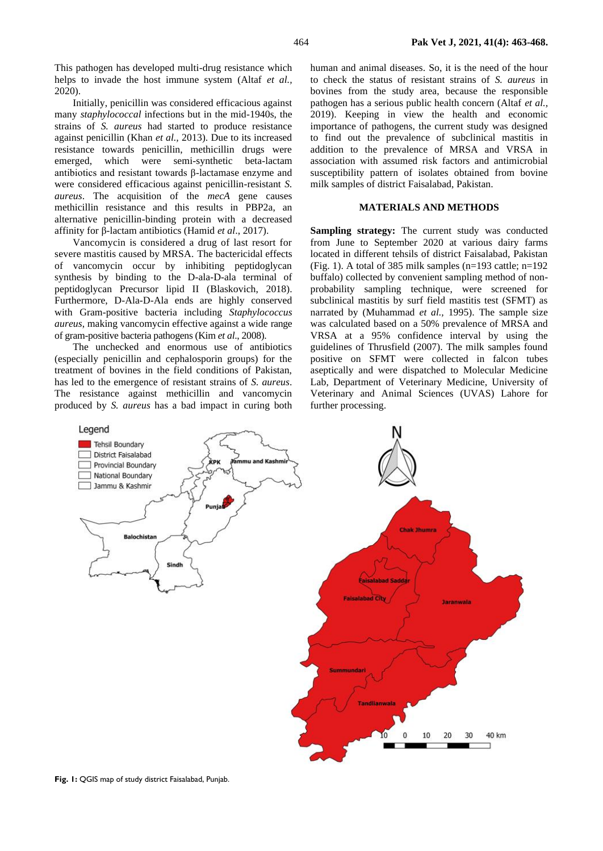This pathogen has developed multi-drug resistance which helps to invade the host immune system (Altaf *et al.,* 2020).

Initially, penicillin was considered efficacious against many *staphylococcal* infections but in the mid-1940s, the strains of *S. aureus* had started to produce resistance against penicillin (Khan *et al.,* 2013). Due to its increased resistance towards penicillin, methicillin drugs were emerged, which were semi-synthetic beta-lactam antibiotics and resistant towards β-lactamase enzyme and were considered efficacious against penicillin-resistant *S. aureus*. The acquisition of the *mecA* gene causes methicillin resistance and this results in PBP2a, an alternative penicillin-binding protein with a decreased affinity for β-lactam antibiotics (Hamid *et al*., 2017).

Vancomycin is considered a drug of last resort for severe mastitis caused by MRSA. The bactericidal effects of vancomycin occur by inhibiting peptidoglycan synthesis by binding to the D-ala-D-ala terminal of peptidoglycan Precursor lipid II (Blaskovich, 2018). Furthermore, D-Ala-D-Ala ends are highly conserved with Gram-positive bacteria including *Staphylococcus aureus*, making vancomycin effective against a wide range of gram-positive bacteria pathogens (Kim *et al*., 2008).

The unchecked and enormous use of antibiotics (especially penicillin and cephalosporin groups) for the treatment of bovines in the field conditions of Pakistan, has led to the emergence of resistant strains of *S. aureus*. The resistance against methicillin and vancomycin produced by *S. aureus* has a bad impact in curing both human and animal diseases. So, it is the need of the hour to check the status of resistant strains of *S. aureus* in bovines from the study area, because the responsible pathogen has a serious public health concern (Altaf *et al.,*  2019). Keeping in view the health and economic importance of pathogens, the current study was designed to find out the prevalence of subclinical mastitis in addition to the prevalence of MRSA and VRSA in association with assumed risk factors and antimicrobial susceptibility pattern of isolates obtained from bovine milk samples of district Faisalabad, Pakistan.

#### **MATERIALS AND METHODS**

**Sampling strategy:** The current study was conducted from June to September 2020 at various dairy farms located in different tehsils of district Faisalabad, Pakistan (Fig. 1). A total of 385 milk samples ( $n=193$  cattle;  $n=192$ ) buffalo) collected by convenient sampling method of nonprobability sampling technique, were screened for subclinical mastitis by surf field mastitis test (SFMT) as narrated by (Muhammad *et al.,* 1995). The sample size was calculated based on a 50% prevalence of MRSA and VRSA at a 95% confidence interval by using the guidelines of Thrusfield (2007). The milk samples found positive on SFMT were collected in falcon tubes aseptically and were dispatched to Molecular Medicine Lab, Department of Veterinary Medicine, University of Veterinary and Animal Sciences (UVAS) Lahore for further processing.

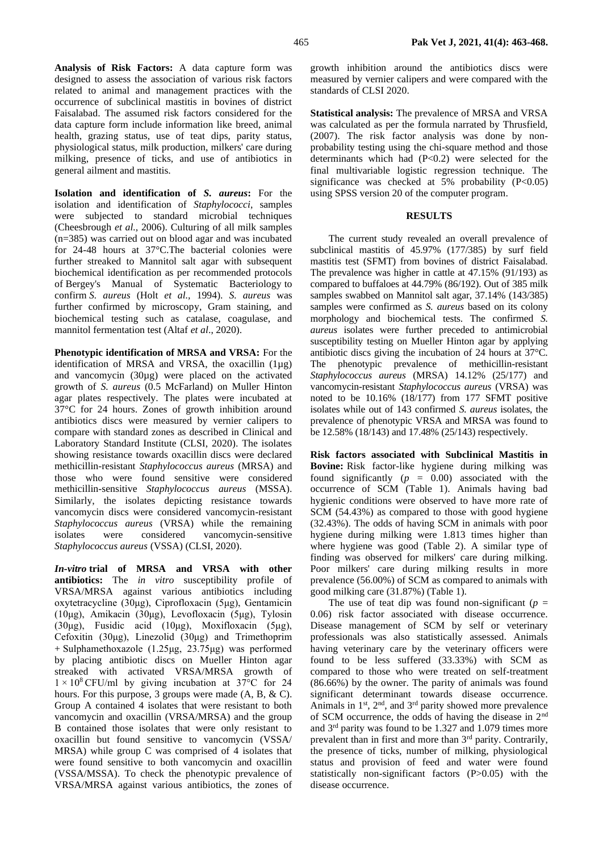**Analysis of Risk Factors:** A data capture form was designed to assess the association of various risk factors related to animal and management practices with the occurrence of subclinical mastitis in bovines of district Faisalabad. The assumed risk factors considered for the data capture form include information like breed, animal health, grazing status, use of teat dips, parity status, physiological status, milk production, milkers' care during milking, presence of ticks, and use of antibiotics in general ailment and mastitis.

**Isolation and identification of** *S. aureus***:** For the isolation and identification of *Staphylococci*, samples were subjected to standard microbial techniques (Cheesbrough *et al.,* 2006). Culturing of all milk samples (n=385) was carried out on blood agar and was incubated for 24-48 hours at 37°C.The bacterial colonies were further streaked to Mannitol salt agar with subsequent biochemical identification as per recommended protocols of Bergey's Manual of Systematic Bacteriology to confirm *S. aureus* (Holt *et al.,* 1994). *S. aureus* was further confirmed by microscopy, Gram staining, and biochemical testing such as catalase, coagulase, and mannitol fermentation test (Altaf *et al*., 2020).

**Phenotypic identification of MRSA and VRSA:** For the identification of MRSA and VRSA, the oxacillin (1µg) and vancomycin (30µg) were placed on the activated growth of *S. aureus* (0.5 McFarland) on Muller Hinton agar plates respectively. The plates were incubated at 37°C for 24 hours. Zones of growth inhibition around antibiotics discs were measured by vernier calipers to compare with standard zones as described in Clinical and Laboratory Standard Institute (CLSI, 2020). The isolates showing resistance towards oxacillin discs were declared methicillin-resistant *Staphylococcus aureus* (MRSA) and those who were found sensitive were considered methicillin-sensitive *Staphylococcus aureus* (MSSA). Similarly, the isolates depicting resistance towards vancomycin discs were considered vancomycin-resistant *Staphylococcus aureus* (VRSA) while the remaining isolates were considered vancomycin-sensitive *Staphylococcus aureus* (VSSA) (CLSI, 2020).

*In-vitro* **trial of MRSA and VRSA with other antibiotics:** The *in vitro* susceptibility profile of VRSA/MRSA against various antibiotics including oxytetracycline (30μg), Ciprofloxacin (5μg), Gentamicin (10μg), Amikacin (30μg), Levofloxacin (5μg), Tylosin (30μg), Fusidic acid (10μg), Moxifloxacin (5μg), Cefoxitin (30μg), Linezolid (30μg) and Trimethoprim + Sulphamethoxazole (1.25μg, 23.75μg) was performed by placing antibiotic discs on Mueller Hinton agar streaked with activated VRSA/MRSA growth of  $1 \times 10^8$  CFU/ml by giving incubation at 37°C for 24 hours. For this purpose, 3 groups were made (A, B, & C). Group A contained 4 isolates that were resistant to both vancomycin and oxacillin (VRSA/MRSA) and the group B contained those isolates that were only resistant to oxacillin but found sensitive to vancomycin (VSSA/ MRSA) while group C was comprised of 4 isolates that were found sensitive to both vancomycin and oxacillin (VSSA/MSSA). To check the phenotypic prevalence of VRSA/MRSA against various antibiotics, the zones of

growth inhibition around the antibiotics discs were measured by vernier calipers and were compared with the standards of CLSI 2020.

**Statistical analysis:** The prevalence of MRSA and VRSA was calculated as per the formula narrated by Thrusfield, (2007). The risk factor analysis was done by nonprobability testing using the chi-square method and those determinants which had  $(P<0.2)$  were selected for the final multivariable logistic regression technique. The significance was checked at  $5\%$  probability (P<0.05) using SPSS version 20 of the computer program.

## **RESULTS**

The current study revealed an overall prevalence of subclinical mastitis of 45.97% (177/385) by surf field mastitis test (SFMT) from bovines of district Faisalabad. The prevalence was higher in cattle at 47.15% (91/193) as compared to buffaloes at 44.79% (86/192). Out of 385 milk samples swabbed on Mannitol salt agar, 37.14% (143/385) samples were confirmed as *S. aureus* based on its colony morphology and biochemical tests. The confirmed *S. aureus* isolates were further preceded to antimicrobial susceptibility testing on Mueller Hinton agar by applying antibiotic discs giving the incubation of 24 hours at 37°C. The phenotypic prevalence of methicillin-resistant *Staphylococcus aureus* (MRSA) 14.12% (25/177) and vancomycin-resistant *Staphylococcus aureus* (VRSA) was noted to be 10.16% (18/177) from 177 SFMT positive isolates while out of 143 confirmed *S. aureus* isolates, the prevalence of phenotypic VRSA and MRSA was found to be 12.58% (18/143) and 17.48% (25/143) respectively.

**Risk factors associated with Subclinical Mastitis in Bovine:** Risk factor-like hygiene during milking was found significantly  $(p = 0.00)$  associated with the occurrence of SCM (Table 1). Animals having bad hygienic conditions were observed to have more rate of SCM (54.43%) as compared to those with good hygiene (32.43%). The odds of having SCM in animals with poor hygiene during milking were 1.813 times higher than where hygiene was good (Table 2). A similar type of finding was observed for milkers' care during milking. Poor milkers' care during milking results in more prevalence (56.00%) of SCM as compared to animals with good milking care (31.87%) (Table 1).

The use of teat dip was found non-significant  $(p =$ 0.06) risk factor associated with disease occurrence. Disease management of SCM by self or veterinary professionals was also statistically assessed. Animals having veterinary care by the veterinary officers were found to be less suffered (33.33%) with SCM as compared to those who were treated on self-treatment (86.66%) by the owner. The parity of animals was found significant determinant towards disease occurrence. Animals in 1<sup>st</sup>, 2<sup>nd</sup>, and 3<sup>rd</sup> parity showed more prevalence of SCM occurrence, the odds of having the disease in 2nd and 3rd parity was found to be 1.327 and 1.079 times more prevalent than in first and more than 3rd parity. Contrarily, the presence of ticks, number of milking, physiological status and provision of feed and water were found statistically non-significant factors (P>0.05) with the disease occurrence.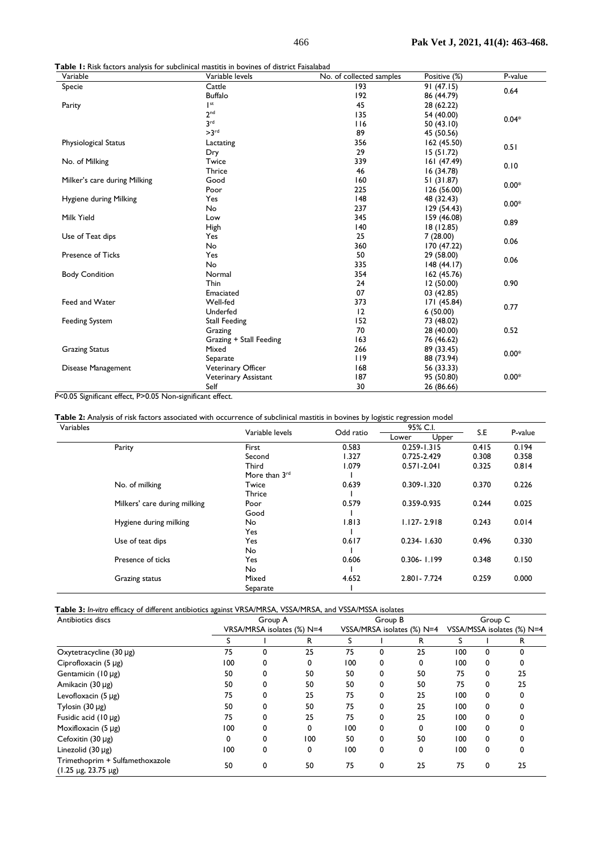**Table 1:** Risk factors analysis for subclinical mastitis in bovines of district Faisalabad

| Variable                     | Variable levels         | No. of collected samples | Positive (%) | P-value |  |
|------------------------------|-------------------------|--------------------------|--------------|---------|--|
| Specie                       | Cattle                  | 193                      | 91(47.15)    | 0.64    |  |
|                              | <b>Buffalo</b>          | 192                      | 86 (44.79)   |         |  |
| Parity                       | $\vert$ st              | 45                       | 28 (62.22)   |         |  |
|                              | 2 <sup>nd</sup>         | 135                      | 54 (40.00)   | $0.04*$ |  |
|                              | 3rd                     | 116                      | 50(43.10)    |         |  |
|                              | >3 <sup>rd</sup>        | 89                       | 45 (50.56)   |         |  |
| Physiological Status         | Lactating               | 356                      | 162 (45.50)  | 0.51    |  |
|                              | Dry                     | 29                       | 15(51.72)    |         |  |
| No. of Milking               | Twice                   | 339                      | 161 (47.49)  | 0.10    |  |
|                              | <b>Thrice</b>           | 46                       | 16(34.78)    |         |  |
| Milker's care during Milking | Good                    | 160                      | 51 (31.87)   | $0.00*$ |  |
|                              | Poor                    | 225                      | 126 (56.00)  |         |  |
| Hygiene during Milking       | Yes                     | 148                      | 48 (32.43)   | $0.00*$ |  |
|                              | <b>No</b>               | 237<br>129 (54.43)       |              |         |  |
| Milk Yield                   | Low                     | 345                      | 159 (46.08)  | 0.89    |  |
|                              | High                    | 140                      | 18(12.85)    |         |  |
| Use of Teat dips             | Yes                     | 25                       | 7(28.00)     | 0.06    |  |
|                              | No                      | 360                      | 170 (47.22)  |         |  |
| Presence of Ticks            | Yes                     | 50                       | 29 (58.00)   | 0.06    |  |
|                              | <b>No</b>               | 335                      | 148(44.17)   |         |  |
| <b>Body Condition</b>        | Normal                  | 354                      | 162 (45.76)  |         |  |
|                              | Thin                    | 24                       | 12(50.00)    | 0.90    |  |
|                              | Emaciated               | 07                       | 03 (42.85)   |         |  |
| Feed and Water               | Well-fed                | 373                      | 171 (45.84)  | 0.77    |  |
|                              | Underfed                | 12                       | 6(50.00)     |         |  |
| <b>Feeding System</b>        | Stall Feeding           | 152                      | 73 (48.02)   |         |  |
|                              | Grazing                 | 70                       | 28 (40.00)   | 0.52    |  |
|                              | Grazing + Stall Feeding | 163                      | 76 (46.62)   |         |  |
| <b>Grazing Status</b>        | Mixed                   | 266                      | 89 (33.45)   | $0.00*$ |  |
|                              | Separate                | 119                      | 88 (73.94)   |         |  |
| Disease Management           | Veterinary Officer      | 168                      | 56 (33.33)   |         |  |
|                              | Veterinary Assistant    | 187                      | 95 (50.80)   | $0.00*$ |  |
|                              | Self                    | 30                       | 26 (86.66)   |         |  |

P<0.05 Significant effect, P>0.05 Non-significant effect.

Table 2: Analysis of risk factors associated with occurrence of subclinical mastitis in bovines by logistic regression model

| Variables |                              | Variable levels | Odd ratio | 95% C.I.               | S.E   | P-value |
|-----------|------------------------------|-----------------|-----------|------------------------|-------|---------|
|           |                              |                 |           | Up <u>per</u><br>Lower |       |         |
|           | Parity                       | First           | 0.583     | $0.259 - 1.315$        | 0.415 | 0.194   |
|           |                              | Second          | 1.327     | 0.725-2.429            | 0.308 | 0.358   |
|           |                              | Third           | 1.079     | $0.571 - 2.041$        | 0.325 | 0.814   |
|           |                              | More than 3rd   |           |                        |       |         |
|           | No. of milking               | Twice           | 0.639     | $0.309 - 1.320$        | 0.370 | 0.226   |
|           |                              | Thrice          |           |                        |       |         |
|           | Milkers' care during milking | Poor            | 0.579     | 0.359-0.935            | 0.244 | 0.025   |
|           |                              | Good            |           |                        |       |         |
|           | Hygiene during milking       | No              | 1.813     | $1.127 - 2.918$        | 0.243 | 0.014   |
|           |                              | Yes             |           |                        |       |         |
|           | Use of teat dips             | Yes             | 0.617     | $0.234 - 1.630$        | 0.496 | 0.330   |
|           |                              | No              |           |                        |       |         |
|           | Presence of ticks            | Yes             | 0.606     | $0.306 - 1.199$        | 0.348 | 0.150   |
|           |                              | No              |           |                        |       |         |
|           | Grazing status               | Mixed           | 4.652     | 2.801 - 7.724          | 0.259 | 0.000   |
|           |                              | Separate        |           |                        |       |         |

#### **Table 3:** *In-vitro* efficacy of different antibiotics against VRSA/MRSA, VSSA/MRSA, and VSSA/MSSA isolates

| Antibiotics discs                                              | Group A                    |   | Group B                    |     | Group C                    |    |     |   |    |
|----------------------------------------------------------------|----------------------------|---|----------------------------|-----|----------------------------|----|-----|---|----|
|                                                                | VRSA/MRSA isolates (%) N=4 |   | VSSA/MRSA isolates (%) N=4 |     | VSSA/MSSA isolates (%) N=4 |    |     |   |    |
|                                                                |                            |   | R                          |     |                            | R  |     |   | R  |
| Oxytetracycline $(30 \mu g)$                                   | 75                         |   | 25                         | 75  | 0                          | 25 | 100 | 0 |    |
| Ciprofloxacin $(5 \mu g)$                                      | 100                        |   | 0                          | 100 | $\Omega$                   | 0  | 100 | 0 |    |
| Gentamicin (10 µg)                                             | 50                         |   | 50                         | 50  | 0                          | 50 | 75  | 0 | 25 |
| Amikacin (30 µg)                                               | 50                         |   | 50                         | 50  | 0                          | 50 | 75  | 0 | 25 |
| Levofloxacin $(5 \mu g)$                                       | 75                         |   | 25                         | 75  |                            | 25 | 100 | 0 |    |
| Tylosin (30 µg)                                                | 50                         |   | 50                         | 75  | 0                          | 25 | 100 | 0 |    |
| Fusidic acid $(10 \mu g)$                                      | 75                         |   | 25                         | 75  | 0                          | 25 | 100 | 0 |    |
| Moxifloxacin $(5 \mu g)$                                       | 100                        |   | 0                          | 100 | $\Omega$                   | 0  | 100 | 0 |    |
| Cefoxitin (30 µg)                                              | 0                          |   | 100                        | 50  | 0                          | 50 | 100 | 0 |    |
| Linezolid $(30 \mu g)$                                         | 100                        |   | 0                          | 100 | 0                          | 0  | 100 | 0 |    |
| Trimethoprim + Sulfamethoxazole<br>$(1.25 \mu g, 23.75 \mu g)$ | 50                         | 0 | 50                         | 75  | 0                          | 25 | 75  | 0 | 25 |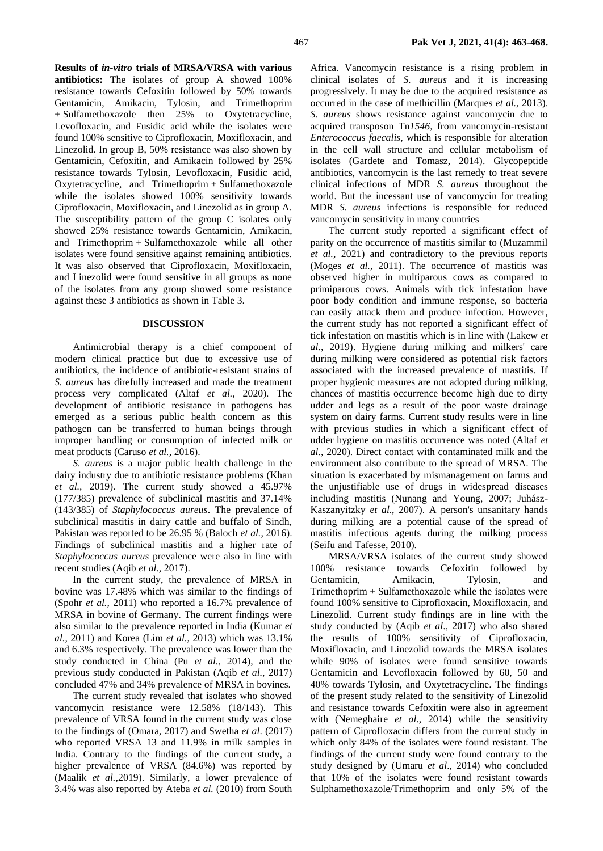**Results of** *in-vitro* **trials of MRSA/VRSA with various antibiotics:** The isolates of group A showed 100% resistance towards Cefoxitin followed by 50% towards Gentamicin, Amikacin, Tylosin, and Trimethoprim + Sulfamethoxazole then 25% to Oxytetracycline, Levofloxacin, and Fusidic acid while the isolates were found 100% sensitive to Ciprofloxacin, Moxifloxacin, and Linezolid. In group B, 50% resistance was also shown by Gentamicin, Cefoxitin, and Amikacin followed by 25% resistance towards Tylosin, Levofloxacin, Fusidic acid, Oxytetracycline, and Trimethoprim + Sulfamethoxazole while the isolates showed 100% sensitivity towards Ciprofloxacin, Moxifloxacin, and Linezolid as in group A. The susceptibility pattern of the group C isolates only showed 25% resistance towards Gentamicin, Amikacin, and Trimethoprim + Sulfamethoxazole while all other isolates were found sensitive against remaining antibiotics.

It was also observed that Ciprofloxacin, Moxifloxacin, and Linezolid were found sensitive in all groups as none of the isolates from any group showed some resistance against these 3 antibiotics as shown in Table 3.

## **DISCUSSION**

Antimicrobial therapy is a chief component of modern clinical practice but due to excessive use of antibiotics, the incidence of antibiotic-resistant strains of *S. aureus* has direfully increased and made the treatment process very complicated (Altaf *et al.,* 2020). The development of antibiotic resistance in pathogens has emerged as a serious public health concern as this pathogen can be transferred to human beings through improper handling or consumption of infected milk or meat products (Caruso *et al.,* 2016).

*[S. aureus](https://www.sciencedirect.com/topics/medicine-and-dentistry/staphylococcus-aureus)* is a major public health challenge in the dairy industry due to antibiotic resistance problems (Khan *et al.,* 2019). The current study showed a 45.97% (177/385) prevalence of subclinical mastitis and 37.14% (143/385) of *Staphylococcus aureus*. The prevalence of subclinical mastitis in dairy cattle and buffalo of Sindh, Pakistan was reported to be 26.95 % (Baloch *et al.,* 2016). Findings of subclinical mastitis and a higher rate of *Staphylococcus aureus* prevalence were also in line with recent studies (Aqib *et al.,* 2017).

In the current study, the prevalence of MRSA in bovine was 17.48% which was similar to the findings of (Spohr *et al.,* 2011) who reported a 16.7% prevalence of MRSA in bovine of Germany. The current findings were also similar to the prevalence reported in India (Kumar *et al.,* 2011) and Korea (Lim *et al.,* 2013) which was 13.1% and 6.3% respectively. The prevalence was lower than the study conducted in China (Pu *et al.,* 2014), and the previous study conducted in Pakistan (Aqib *et al.,* 2017) concluded 47% and 34% prevalence of MRSA in bovines.

The current study revealed that isolates who showed vancomycin resistance were 12.58% (18/143). This prevalence of VRSA found in the current study was close to the findings of (Omara, 2017) and Swetha *et al*. (2017) who reported VRSA 13 and 11.9% in milk samples in India. Contrary to the findings of the current study, a higher prevalence of VRSA (84.6%) was reported by (Maalik *et al.,*2019). Similarly, a lower prevalence of 3.4% was also reported by Ateba *et al.* (2010) from South

Africa. Vancomycin resistance is a rising problem in clinical isolates of *S. aureus* and it is increasing progressively. It may be due to the acquired resistance as occurred in the case of methicillin (Marques *et al.,* 2013). *S. aureus* shows resistance against vancomycin due to acquired transposon Tn*1546,* from vancomycin-resistant *Enterococcus faecalis*, which is responsible for alteration in the cell wall structure and cellular metabolism of isolates (Gardete and Tomasz, 2014). Glycopeptide antibiotics, vancomycin is the last remedy to treat severe clinical infections of MDR *S. aureus* throughout the world. But the incessant use of vancomycin for treating MDR *S. aureus* infections is responsible for reduced vancomycin sensitivity in many countries

The current study reported a significant effect of parity on the occurrence of mastitis similar to (Muzammil *et al.,* 2021) and contradictory to the previous reports (Moges *et al.,* 2011). The occurrence of mastitis was observed higher in multiparous cows as compared to primiparous cows. Animals with tick infestation have poor body condition and immune response, so bacteria can easily attack them and produce infection. However, the current study has not reported a significant effect of tick infestation on mastitis which is in line with (Lakew *et al.,* 2019). Hygiene during milking and milkers' care during milking were considered as potential risk factors associated with the increased prevalence of mastitis. If proper hygienic measures are not adopted during milking, chances of mastitis occurrence become high due to dirty udder and legs as a result of the poor waste drainage system on dairy farms. Current study results were in line with previous studies in which a significant effect of udder hygiene on mastitis occurrence was noted (Altaf *et al.,* 2020). Direct contact with contaminated milk and the environment also contribute to the spread of MRSA. The situation is exacerbated by mismanagement on farms and the unjustifiable use of drugs in widespread diseases including mastitis (Nunang and Young, 2007; Juhász-Kaszanyitzky *et al*., 2007). A person's unsanitary hands during milking are a potential cause of the spread of mastitis infectious agents during the milking process (Seifu and Tafesse, 2010).

MRSA/VRSA isolates of the current study showed 100% resistance towards Cefoxitin followed by Gentamicin, Amikacin, Tylosin, and Trimethoprim + Sulfamethoxazole while the isolates were found 100% sensitive to Ciprofloxacin, Moxifloxacin, and Linezolid. Current study findings are in line with the study conducted by (Aqib *et al*., 2017) who also shared the results of 100% sensitivity of Ciprofloxacin, Moxifloxacin, and Linezolid towards the MRSA isolates while 90% of isolates were found sensitive towards Gentamicin and Levofloxacin followed by 60, 50 and 40% towards Tylosin, and Oxytetracycline. The findings of the present study related to the sensitivity of Linezolid and resistance towards Cefoxitin were also in agreement with (Nemeghaire *et al*., 2014) while the sensitivity pattern of Ciprofloxacin differs from the current study in which only 84% of the isolates were found resistant. The findings of the current study were found contrary to the study designed by (Umaru *et al*., 2014) who concluded that 10% of the isolates were found resistant towards Sulphamethoxazole/Trimethoprim and only 5% of the